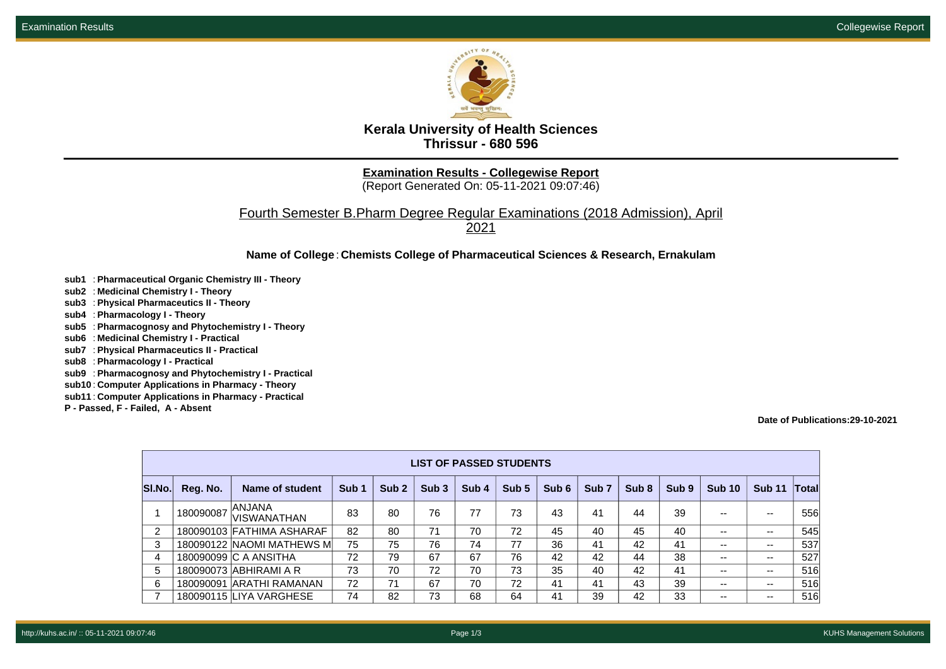

**Kerala University of Health Sciences Thrissur - 680 596**

**Examination Results - Collegewise Report**

(Report Generated On: 05-11-2021 09:07:46)

Fourth Semester B.Pharm Degree Regular Examinations (2018 Admission), April 2021

**Name of College**: **Chemists College of Pharmaceutical Sciences & Research, Ernakulam**

- **sub1** : **Pharmaceutical Organic Chemistry III Theory**
- **sub2** : **Medicinal Chemistry I Theory**
- **sub3** : **Physical Pharmaceutics II Theory**
- **sub4** : **Pharmacology I Theory**
- **sub5** : **Pharmacognosy and Phytochemistry I Theory**
- **sub6** : **Medicinal Chemistry I Practical**
- **sub7** : **Physical Pharmaceutics II Practical**
- **sub8** : **Pharmacology I Practical**
- **sub9** : **Pharmacognosy and Phytochemistry I Practical**
- **sub10** : **Computer Applications in Pharmacy Theory**
- **sub11** : **Computer Applications in Pharmacy Practical**
- **P Passed, F Failed, A Absent**

## **Date of Publications:29-10-2021**

|        | <b>LIST OF PASSED STUDENTS</b> |                                     |                  |                  |                  |       |       |       |                  |       |                  |               |               |       |
|--------|--------------------------------|-------------------------------------|------------------|------------------|------------------|-------|-------|-------|------------------|-------|------------------|---------------|---------------|-------|
| SI.No. | Reg. No.                       | Name of student                     | Sub <sub>1</sub> | Sub <sub>2</sub> | Sub <sub>3</sub> | Sub 4 | Sub 5 | Sub 6 | Sub <sub>7</sub> | Sub 8 | Sub <sub>9</sub> | <b>Sub 10</b> | <b>Sub 11</b> | Total |
|        | 180090087                      | <b>ANJANA</b><br><b>VISWANATHAN</b> | 83               | 80               | 76               | 77    | 73    | 43    | 41               | 44    | 39               | --            | $-$           | 556   |
| 2      |                                | 180090103 FATHIMA ASHARAF           | 82               | 80               | 71               | 70    | 72    | 45    | 40               | 45    | 40               | --            | $- -$         | 545   |
| 3      |                                | 180090122 NAOMI MATHEWS ML          | 75               | 75               | 76               | 74    | 77    | 36    | 41               | 42    | 41               | --            | $- -$         | 537   |
| 4      |                                | 180090099 C A ANSITHA               | 72               | 79               | 67               | 67    | 76    | 42    | 42               | 44    | 38               | --            | $- -$         | 527   |
| 5      |                                | 180090073 ABHIRAMI A R              | 73               | 70               | 72               | 70    | 73    | 35    | 40               | 42    | 41               | --            | $-$           | 516   |
| 6      |                                | 180090091 ARATHI RAMANAN            | 72               | 71               | 67               | 70    | 72    | 41    | 41               | 43    | 39               | --            | $- -$         | 516   |
|        |                                | 180090115 LIYA VARGHESE             | 74               | 82               | 73               | 68    | 64    | 41    | 39               | 42    | 33               | --            | $-$           | 516   |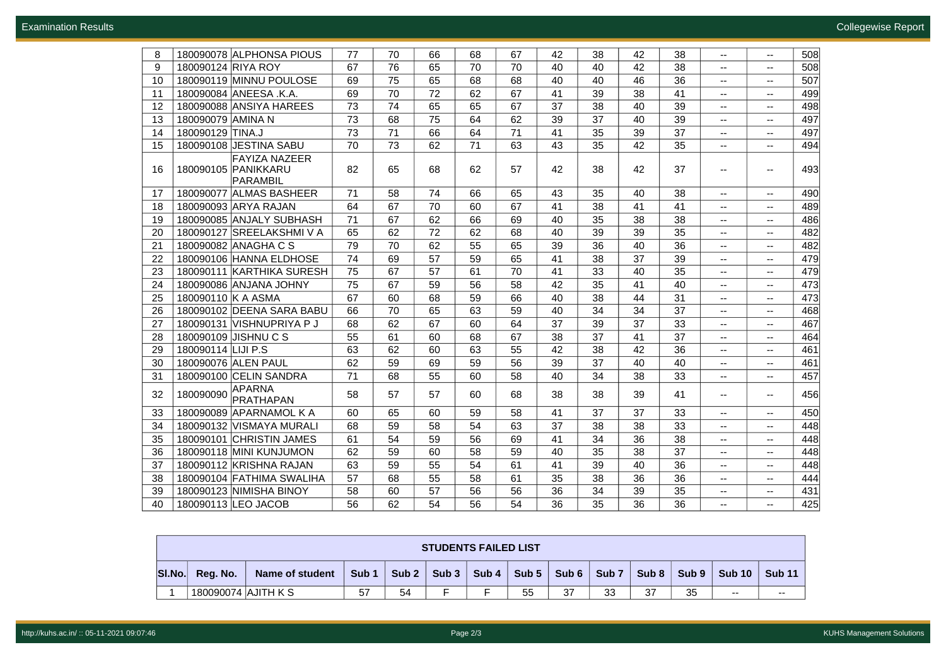| 8  | 180090078 ALPHONSA PIOUS                                       | 77 | 70              | 66 | 68 | 67 | 42 | 38 | 42 | 38 | $\mathbf{u}$             | --             | 508 |
|----|----------------------------------------------------------------|----|-----------------|----|----|----|----|----|----|----|--------------------------|----------------|-----|
| 9  | 180090124 RIYA ROY                                             | 67 | 76              | 65 | 70 | 70 | 40 | 40 | 42 | 38 | $\mathbf{u}$             | --             | 508 |
| 10 | 180090119 MINNU POULOSE                                        | 69 | 75              | 65 | 68 | 68 | 40 | 40 | 46 | 36 | $- -$                    | $\overline{a}$ | 507 |
| 11 | 180090084 ANEESA .K.A.                                         | 69 | 70              | 72 | 62 | 67 | 41 | 39 | 38 | 41 | $\overline{a}$           | $\overline{a}$ | 499 |
| 12 | 180090088 ANSIYA HAREES                                        | 73 | 74              | 65 | 65 | 67 | 37 | 38 | 40 | 39 | --                       | ۰.             | 498 |
| 13 | 180090079 AMINA N                                              | 73 | 68              | 75 | 64 | 62 | 39 | 37 | 40 | 39 | $\mathbf{u}$             | --             | 497 |
| 14 | 180090129 TINA.J                                               | 73 | $\overline{71}$ | 66 | 64 | 71 | 41 | 35 | 39 | 37 | $\overline{\phantom{a}}$ | --             | 497 |
| 15 | 180090108 JESTINA SABU                                         | 70 | 73              | 62 | 71 | 63 | 43 | 35 | 42 | 35 | --                       | $\overline{a}$ | 494 |
| 16 | <b>FAYIZA NAZEER</b><br>180090105 PANIKKARU<br><b>PARAMBIL</b> | 82 | 65              | 68 | 62 | 57 | 42 | 38 | 42 | 37 | $\overline{\phantom{a}}$ |                | 493 |
| 17 | 180090077 ALMAS BASHEER                                        | 71 | 58              | 74 | 66 | 65 | 43 | 35 | 40 | 38 | $\overline{\phantom{a}}$ | --             | 490 |
| 18 | 180090093 ARYA RAJAN                                           | 64 | 67              | 70 | 60 | 67 | 41 | 38 | 41 | 41 | --                       | --             | 489 |
| 19 | 180090085 ANJALY SUBHASH                                       | 71 | 67              | 62 | 66 | 69 | 40 | 35 | 38 | 38 | $\overline{\phantom{a}}$ | $- -$          | 486 |
| 20 | 180090127 SREELAKSHMI V A                                      | 65 | 62              | 72 | 62 | 68 | 40 | 39 | 39 | 35 | --                       | --             | 482 |
| 21 | 180090082 ANAGHA C S                                           | 79 | 70              | 62 | 55 | 65 | 39 | 36 | 40 | 36 | --                       | --             | 482 |
| 22 | 180090106 HANNA ELDHOSE                                        | 74 | 69              | 57 | 59 | 65 | 41 | 38 | 37 | 39 | $\mathbf{u}$             | $\overline{a}$ | 479 |
| 23 | 180090111 KARTHIKA SURESH                                      | 75 | 67              | 57 | 61 | 70 | 41 | 33 | 40 | 35 | ۰.                       | --             | 479 |
| 24 | 180090086 ANJANA JOHNY                                         | 75 | 67              | 59 | 56 | 58 | 42 | 35 | 41 | 40 | --                       | $- -$          | 473 |
| 25 | 180090110 K A ASMA                                             | 67 | 60              | 68 | 59 | 66 | 40 | 38 | 44 | 31 | ۰.                       | --             | 473 |
| 26 | 180090102 DEENA SARA BABU                                      | 66 | 70              | 65 | 63 | 59 | 40 | 34 | 34 | 37 | --                       | --             | 468 |
| 27 | 180090131 VISHNUPRIYA P J                                      | 68 | 62              | 67 | 60 | 64 | 37 | 39 | 37 | 33 | $\overline{a}$           | $\overline{a}$ | 467 |
| 28 | 180090109 JISHNU C S                                           | 55 | 61              | 60 | 68 | 67 | 38 | 37 | 41 | 37 | --                       | --             | 464 |
| 29 | 180090114 LIJI P.S                                             | 63 | 62              | 60 | 63 | 55 | 42 | 38 | 42 | 36 | $- -$                    | $- -$          | 461 |
| 30 | 180090076 ALEN PAUL                                            | 62 | 59              | 69 | 59 | 56 | 39 | 37 | 40 | 40 | $-$                      | $-$            | 461 |
| 31 | 180090100 CELIN SANDRA                                         | 71 | 68              | 55 | 60 | 58 | 40 | 34 | 38 | 33 | --                       | $-$            | 457 |
| 32 | <b>APARNA</b><br>180090090<br><b>PRATHAPAN</b>                 | 58 | 57              | 57 | 60 | 68 | 38 | 38 | 39 | 41 | --                       | --             | 456 |
| 33 | 180090089 APARNAMOL K A                                        | 60 | 65              | 60 | 59 | 58 | 41 | 37 | 37 | 33 | $\overline{\phantom{a}}$ | --             | 450 |
| 34 | 180090132 VISMAYA MURALI                                       | 68 | 59              | 58 | 54 | 63 | 37 | 38 | 38 | 33 | $-$                      | $-$            | 448 |
| 35 | 180090101 CHRISTIN JAMES                                       | 61 | 54              | 59 | 56 | 69 | 41 | 34 | 36 | 38 | $\mathbf{u}$             | --             | 448 |
| 36 | 180090118 MINI KUNJUMON                                        | 62 | 59              | 60 | 58 | 59 | 40 | 35 | 38 | 37 | ۰.                       | --             | 448 |
| 37 | 180090112 KRISHNA RAJAN                                        | 63 | 59              | 55 | 54 | 61 | 41 | 39 | 40 | 36 | $- -$                    | $- -$          | 448 |
| 38 | 180090104 FATHIMA SWALIHA                                      | 57 | 68              | 55 | 58 | 61 | 35 | 38 | 36 | 36 | --                       | ۰.             | 444 |
| 39 | 180090123 NIMISHA BINOY                                        | 58 | 60              | 57 | 56 | 56 | 36 | 34 | 39 | 35 | --                       | --             | 431 |
| 40 | 180090113 LEO JACOB                                            | 56 | 62              | 54 | 56 | 54 | 36 | 35 | 36 | 36 | --                       | $\overline{a}$ | 425 |

|        | <b>STUDENTS FAILED LIST</b> |                 |       |       |              |       |               |                           |                  |       |       |        |               |  |
|--------|-----------------------------|-----------------|-------|-------|--------------|-------|---------------|---------------------------|------------------|-------|-------|--------|---------------|--|
| SI.No. | Req. No.                    | Name of student | Sub 1 | Sub 2 | $Sub 3 \mid$ | Sub 4 | Sub 5 $\vert$ | $\sqrt{$ Sub 6 $\sqrt{ }$ | Sub <sub>7</sub> | Sub 8 | Sub 9 | Sub 10 | <b>Sub 11</b> |  |
|        | 180090074 AJITH K S         |                 | 57    | 54    |              |       | 55            | 37                        | 33               | 37    | 35    | $- -$  | $- -$         |  |